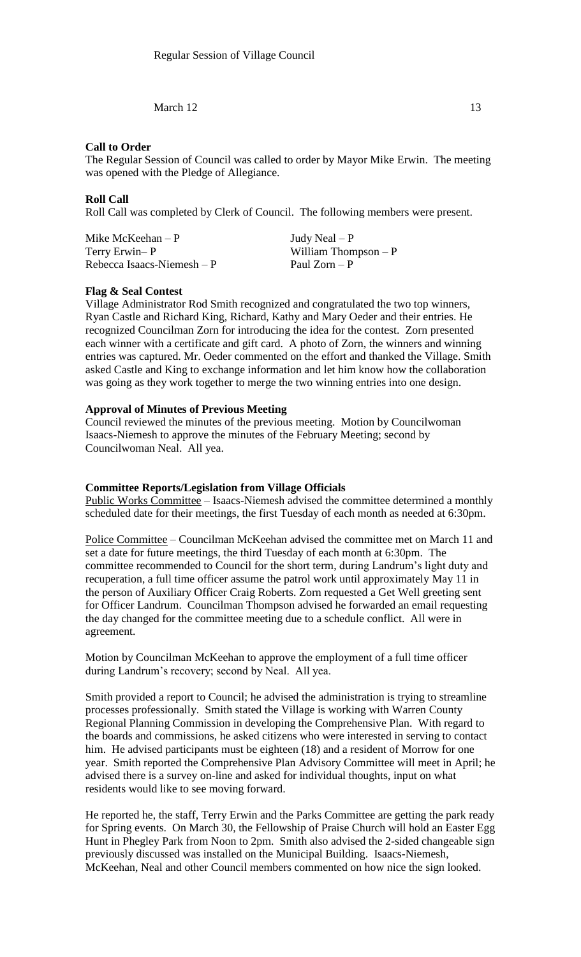March  $12$  13

### **Call to Order**

The Regular Session of Council was called to order by Mayor Mike Erwin. The meeting was opened with the Pledge of Allegiance.

# **Roll Call**

Roll Call was completed by Clerk of Council. The following members were present.

| Mike McKeehan $- P$        | Judy Neal $- P$       |
|----------------------------|-----------------------|
| Terry Erwin–P              | William Thompson $-P$ |
| Rebecca Isaacs-Niemesh – P | Paul Zorn – P         |

#### **Flag & Seal Contest**

Village Administrator Rod Smith recognized and congratulated the two top winners, Ryan Castle and Richard King, Richard, Kathy and Mary Oeder and their entries. He recognized Councilman Zorn for introducing the idea for the contest. Zorn presented each winner with a certificate and gift card. A photo of Zorn, the winners and winning entries was captured. Mr. Oeder commented on the effort and thanked the Village. Smith asked Castle and King to exchange information and let him know how the collaboration was going as they work together to merge the two winning entries into one design.

## **Approval of Minutes of Previous Meeting**

Council reviewed the minutes of the previous meeting. Motion by Councilwoman Isaacs-Niemesh to approve the minutes of the February Meeting; second by Councilwoman Neal. All yea.

#### **Committee Reports/Legislation from Village Officials**

Public Works Committee – Isaacs-Niemesh advised the committee determined a monthly scheduled date for their meetings, the first Tuesday of each month as needed at 6:30pm.

Police Committee – Councilman McKeehan advised the committee met on March 11 and set a date for future meetings, the third Tuesday of each month at 6:30pm. The committee recommended to Council for the short term, during Landrum's light duty and recuperation, a full time officer assume the patrol work until approximately May 11 in the person of Auxiliary Officer Craig Roberts. Zorn requested a Get Well greeting sent for Officer Landrum. Councilman Thompson advised he forwarded an email requesting the day changed for the committee meeting due to a schedule conflict. All were in agreement.

Motion by Councilman McKeehan to approve the employment of a full time officer during Landrum's recovery; second by Neal. All yea.

Smith provided a report to Council; he advised the administration is trying to streamline processes professionally. Smith stated the Village is working with Warren County Regional Planning Commission in developing the Comprehensive Plan. With regard to the boards and commissions, he asked citizens who were interested in serving to contact him. He advised participants must be eighteen (18) and a resident of Morrow for one year. Smith reported the Comprehensive Plan Advisory Committee will meet in April; he advised there is a survey on-line and asked for individual thoughts, input on what residents would like to see moving forward.

He reported he, the staff, Terry Erwin and the Parks Committee are getting the park ready for Spring events. On March 30, the Fellowship of Praise Church will hold an Easter Egg Hunt in Phegley Park from Noon to 2pm. Smith also advised the 2-sided changeable sign previously discussed was installed on the Municipal Building. Isaacs-Niemesh, McKeehan, Neal and other Council members commented on how nice the sign looked.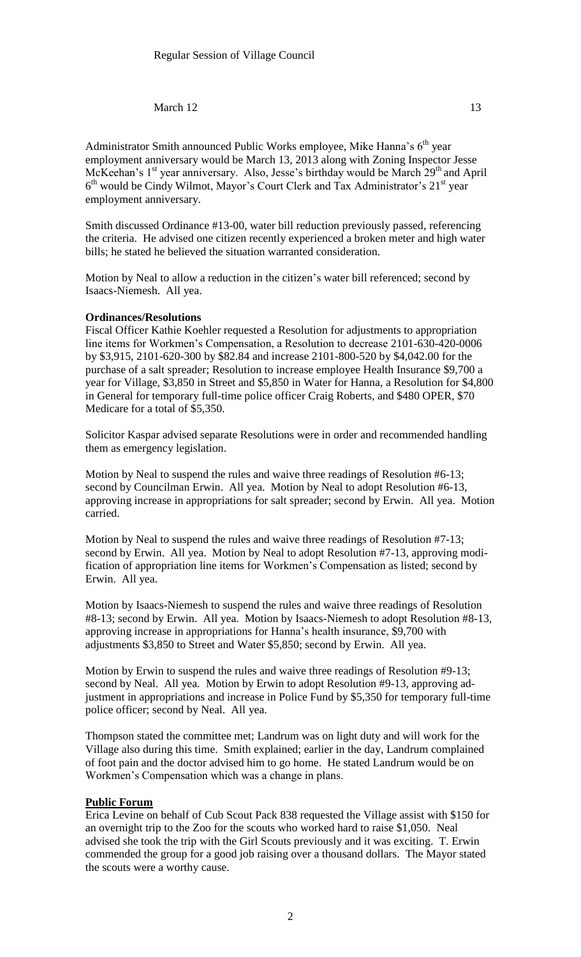## March  $12$  13

Administrator Smith announced Public Works employee, Mike Hanna's  $6<sup>th</sup>$  year employment anniversary would be March 13, 2013 along with Zoning Inspector Jesse McKeehan's 1<sup>st</sup> year anniversary. Also, Jesse's birthday would be March 29<sup>th</sup> and April 6<sup>th</sup> would be Cindy Wilmot, Mayor's Court Clerk and Tax Administrator's 21<sup>st</sup> year employment anniversary.

Smith discussed Ordinance #13-00, water bill reduction previously passed, referencing the criteria. He advised one citizen recently experienced a broken meter and high water bills; he stated he believed the situation warranted consideration.

Motion by Neal to allow a reduction in the citizen's water bill referenced; second by Isaacs-Niemesh. All yea.

### **Ordinances/Resolutions**

Fiscal Officer Kathie Koehler requested a Resolution for adjustments to appropriation line items for Workmen's Compensation, a Resolution to decrease 2101-630-420-0006 by \$3,915, 2101-620-300 by \$82.84 and increase 2101-800-520 by \$4,042.00 for the purchase of a salt spreader; Resolution to increase employee Health Insurance \$9,700 a year for Village, \$3,850 in Street and \$5,850 in Water for Hanna, a Resolution for \$4,800 in General for temporary full-time police officer Craig Roberts, and \$480 OPER, \$70 Medicare for a total of \$5,350.

Solicitor Kaspar advised separate Resolutions were in order and recommended handling them as emergency legislation.

Motion by Neal to suspend the rules and waive three readings of Resolution #6-13; second by Councilman Erwin. All yea. Motion by Neal to adopt Resolution #6-13, approving increase in appropriations for salt spreader; second by Erwin. All yea. Motion carried.

Motion by Neal to suspend the rules and waive three readings of Resolution #7-13; second by Erwin. All yea. Motion by Neal to adopt Resolution #7-13, approving modification of appropriation line items for Workmen's Compensation as listed; second by Erwin. All yea.

Motion by Isaacs-Niemesh to suspend the rules and waive three readings of Resolution #8-13; second by Erwin. All yea. Motion by Isaacs-Niemesh to adopt Resolution #8-13, approving increase in appropriations for Hanna's health insurance, \$9,700 with adjustments \$3,850 to Street and Water \$5,850; second by Erwin. All yea.

Motion by Erwin to suspend the rules and waive three readings of Resolution #9-13; second by Neal. All yea. Motion by Erwin to adopt Resolution #9-13, approving adjustment in appropriations and increase in Police Fund by \$5,350 for temporary full-time police officer; second by Neal. All yea.

Thompson stated the committee met; Landrum was on light duty and will work for the Village also during this time. Smith explained; earlier in the day, Landrum complained of foot pain and the doctor advised him to go home. He stated Landrum would be on Workmen's Compensation which was a change in plans.

#### **Public Forum**

Erica Levine on behalf of Cub Scout Pack 838 requested the Village assist with \$150 for an overnight trip to the Zoo for the scouts who worked hard to raise \$1,050. Neal advised she took the trip with the Girl Scouts previously and it was exciting. T. Erwin commended the group for a good job raising over a thousand dollars. The Mayor stated the scouts were a worthy cause.